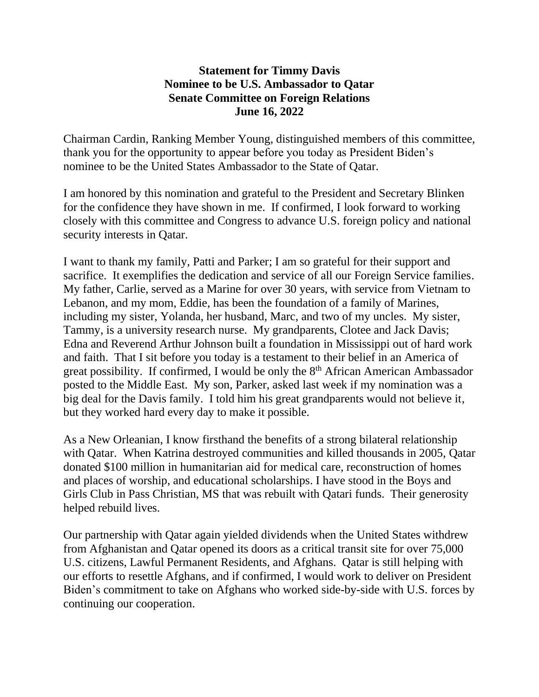## **Statement for Timmy Davis Nominee to be U.S. Ambassador to Qatar Senate Committee on Foreign Relations June 16, 2022**

Chairman Cardin, Ranking Member Young, distinguished members of this committee, thank you for the opportunity to appear before you today as President Biden's nominee to be the United States Ambassador to the State of Qatar.

I am honored by this nomination and grateful to the President and Secretary Blinken for the confidence they have shown in me. If confirmed, I look forward to working closely with this committee and Congress to advance U.S. foreign policy and national security interests in Qatar.

I want to thank my family, Patti and Parker; I am so grateful for their support and sacrifice. It exemplifies the dedication and service of all our Foreign Service families. My father, Carlie, served as a Marine for over 30 years, with service from Vietnam to Lebanon, and my mom, Eddie, has been the foundation of a family of Marines, including my sister, Yolanda, her husband, Marc, and two of my uncles. My sister, Tammy, is a university research nurse. My grandparents, Clotee and Jack Davis; Edna and Reverend Arthur Johnson built a foundation in Mississippi out of hard work and faith. That I sit before you today is a testament to their belief in an America of great possibility. If confirmed, I would be only the 8<sup>th</sup> African American Ambassador posted to the Middle East. My son, Parker, asked last week if my nomination was a big deal for the Davis family. I told him his great grandparents would not believe it, but they worked hard every day to make it possible.

As a New Orleanian, I know firsthand the benefits of a strong bilateral relationship with Qatar. When Katrina destroyed communities and killed thousands in 2005, Qatar donated \$100 million in humanitarian aid for medical care, reconstruction of homes and places of worship, and educational scholarships. I have stood in the Boys and Girls Club in Pass Christian, MS that was rebuilt with Qatari funds. Their generosity helped rebuild lives.

Our partnership with Qatar again yielded dividends when the United States withdrew from Afghanistan and Qatar opened its doors as a critical transit site for over 75,000 U.S. citizens, Lawful Permanent Residents, and Afghans. Qatar is still helping with our efforts to resettle Afghans, and if confirmed, I would work to deliver on President Biden's commitment to take on Afghans who worked side-by-side with U.S. forces by continuing our cooperation.